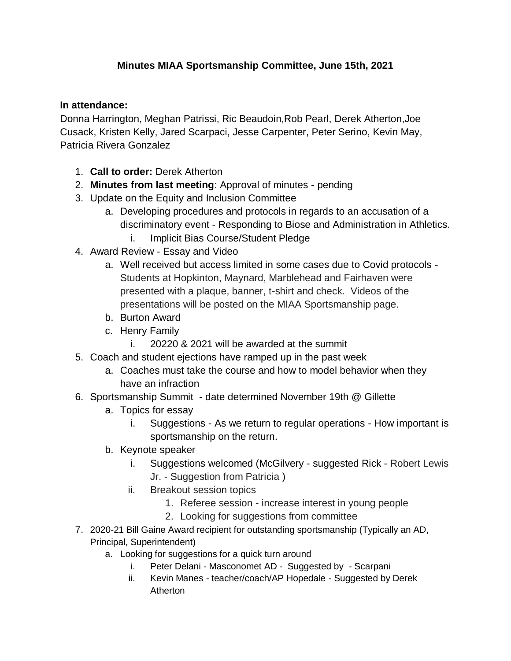## **Minutes MIAA Sportsmanship Committee, June 15th, 2021**

## **In attendance:**

Donna Harrington, Meghan Patrissi, Ric Beaudoin,Rob Pearl, Derek Atherton,Joe Cusack, Kristen Kelly, Jared Scarpaci, Jesse Carpenter, Peter Serino, Kevin May, Patricia Rivera Gonzalez

- 1. **Call to order:** Derek Atherton
- 2. **Minutes from last meeting**: Approval of minutes pending
- 3. Update on the Equity and Inclusion Committee
	- a. Developing procedures and protocols in regards to an accusation of a discriminatory event - Responding to Biose and Administration in Athletics.
		- i. Implicit Bias Course/Student Pledge
- 4. Award Review Essay and Video
	- a. Well received but access limited in some cases due to Covid protocols Students at Hopkinton, Maynard, Marblehead and Fairhaven were presented with a plaque, banner, t-shirt and check. Videos of the presentations will be posted on the MIAA Sportsmanship page.
	- b. Burton Award
	- c. Henry Family
		- i. 20220 & 2021 will be awarded at the summit
- 5. Coach and student ejections have ramped up in the past week
	- a. Coaches must take the course and how to model behavior when they have an infraction
- 6. Sportsmanship Summit date determined November 19th @ Gillette
	- a. Topics for essay
		- i. Suggestions As we return to regular operations How important is sportsmanship on the return.
	- b. Keynote speaker
		- i. Suggestions welcomed (McGilvery suggested Rick Robert Lewis Jr. - Suggestion from Patricia )
		- ii. Breakout session topics
			- 1. Referee session increase interest in young people
			- 2. Looking for suggestions from committee
- 7. 2020-21 Bill Gaine Award recipient for outstanding sportsmanship (Typically an AD, Principal, Superintendent)
	- a. Looking for suggestions for a quick turn around
		- i. Peter Delani Masconomet AD Suggested by Scarpani
		- ii. Kevin Manes teacher/coach/AP Hopedale Suggested by Derek Atherton